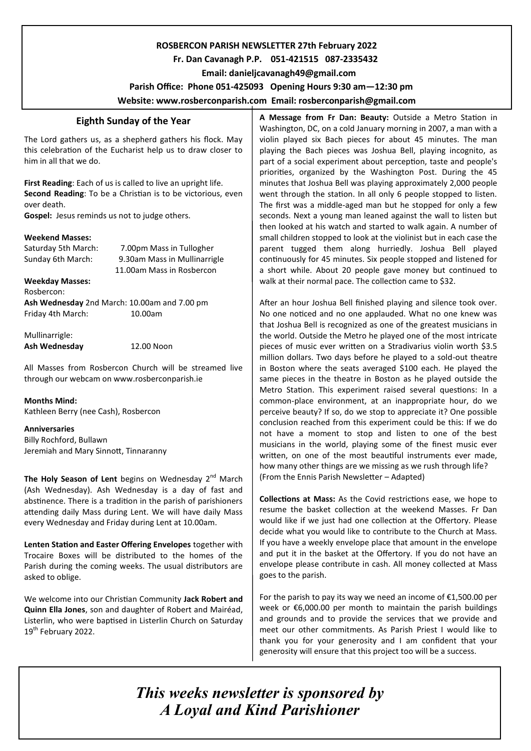## **ROSBERCON PARISH NEWSLETTER 27th February 2022**

# **Fr. Dan Cavanagh P.P. 051-421515 087-2335432**

 **Email: danieljcavanagh49@gmail.com**

 **Parish Office: Phone 051-425093****Opening Hours 9:30 am—12:30 pm** 

**Website: www.rosberconparish.com Email: rosberconparish@gmail.com**

# **Eighth Sunday of the Year**

The Lord gathers us, as a shepherd gathers his flock. May this celebration of the Eucharist help us to draw closer to him in all that we do.

**First Reading**: Each of us is called to live an upright life. **Second Reading**: To be a Christian is to be victorious, even over death.

**Gospel:** Jesus reminds us not to judge others.

#### **Weekend Masses:**

Saturday 5th March: 7.00pm Mass in Tullogher Sunday 6th March: 9.30am Mass in Mullinarrigle 11.00am Mass in Rosbercon **Weekday Masses:** Rosbercon: **Ash Wednesday** 2nd March: 10.00am and 7.00 pm Friday 4th March: 10.00am

Mullinarrigle: **Ash Wednesday** 12.00 Noon

All Masses from Rosbercon Church will be streamed live through our webcam on www.rosberconparish.ie

**Months Mind:**

Kathleen Berry (nee Cash), Rosbercon

**Anniversaries**

Billy Rochford, Bullawn Jeremiah and Mary Sinnott, Tinnaranny

The Holy Season of Lent begins on Wednesday 2<sup>nd</sup> March (Ash Wednesday). Ash Wednesday is a day of fast and abstinence. There is a tradition in the parish of parishioners attending daily Mass during Lent. We will have daily Mass every Wednesday and Friday during Lent at 10.00am.

**Lenten Station and Easter Offering Envelopes** together with Trocaire Boxes will be distributed to the homes of the Parish during the coming weeks. The usual distributors are asked to oblige.

We welcome into our Christian Community **Jack Robert and Quinn Ella Jones**, son and daughter of Robert and Mairéad, Listerlin, who were baptised in Listerlin Church on Saturday 19<sup>th</sup> February 2022.

**A Message from Fr Dan: Beauty:** Outside a Metro Station in Washington, DC, on a cold January morning in 2007, a man with a violin played six Bach pieces for about 45 minutes. The man playing the Bach pieces was Joshua Bell, playing incognito, as part of a social experiment about perception, taste and people's priorities, organized by the Washington Post. During the 45 minutes that Joshua Bell was playing approximately 2,000 people went through the station. In all only 6 people stopped to listen. The first was a middle-aged man but he stopped for only a few seconds. Next a young man leaned against the wall to listen but then looked at his watch and started to walk again. A number of small children stopped to look at the violinist but in each case the parent tugged them along hurriedly. Joshua Bell played continuously for 45 minutes. Six people stopped and listened for a short while. About 20 people gave money but continued to walk at their normal pace. The collection came to \$32.

After an hour Joshua Bell finished playing and silence took over. No one noticed and no one applauded. What no one knew was that Joshua Bell is recognized as one of the greatest musicians in the world. Outside the Metro he played one of the most intricate pieces of music ever written on a Stradivarius violin worth \$3.5 million dollars. Two days before he played to a sold-out theatre in Boston where the seats averaged \$100 each. He played the same pieces in the theatre in Boston as he played outside the Metro Station. This experiment raised several questions: In a common-place environment, at an inappropriate hour, do we perceive beauty? If so, do we stop to appreciate it? One possible conclusion reached from this experiment could be this: If we do not have a moment to stop and listen to one of the best musicians in the world, playing some of the finest music ever written, on one of the most beautiful instruments ever made, how many other things are we missing as we rush through life? (From the Ennis Parish Newsletter – Adapted)

**Collections at Mass:** As the Covid restrictions ease, we hope to resume the basket collection at the weekend Masses. Fr Dan would like if we just had one collection at the Offertory. Please decide what you would like to contribute to the Church at Mass. If you have a weekly envelope place that amount in the envelope and put it in the basket at the Offertory. If you do not have an envelope please contribute in cash. All money collected at Mass goes to the parish.

For the parish to pay its way we need an income of  $£1,500.00$  per week or €6,000.00 per month to maintain the parish buildings and grounds and to provide the services that we provide and meet our other commitments. As Parish Priest I would like to thank you for your generosity and I am confident that your generosity will ensure that this project too will be a success.

*This weeks newsletter is sponsored by A Loyal and Kind Parishioner*